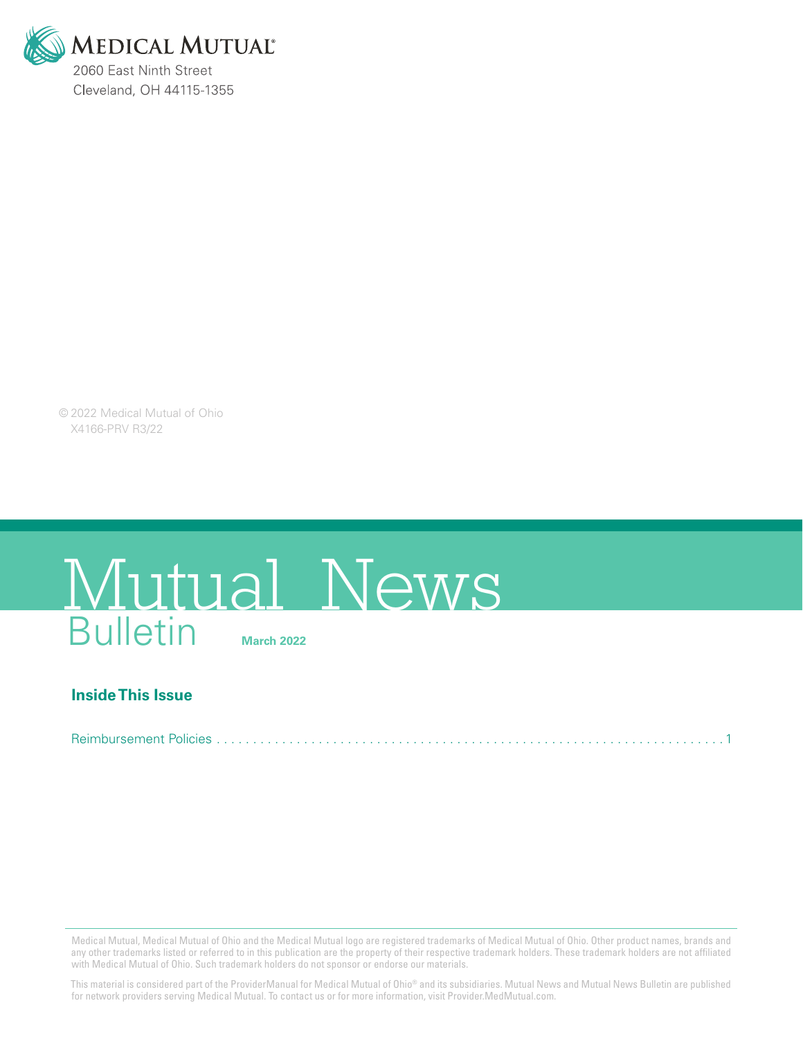

© 2022 Medical Mutual of Ohio X4166-PRV R3/22

# Bulletin **March 2022** Mutual News

### **Inside This Issue**

Reimbursement Policies . . . . . . . . . . . . . . . . . . . . . . . . . . . . . . . . . . . . . . . . . . . . . . . . . . . . . . . . . . . . . . . . . . . . . 1

Medical Mutual, Medical Mutual of Ohio and the Medical Mutual logo are registered trademarks of Medical Mutual of Ohio. Other product names, brands and any other trademarks listed or referred to in this publication are the property of their respective trademark holders. These trademark holders are not affiliated with Medical Mutual of Ohio. Such trademark holders do not sponsor or endorse our materials.

This material is considered part of the ProviderManual for Medical Mutual of Ohio® and its subsidiaries. Mutual News and Mutual News Bulletin are published for network providers serving Medical Mutual. To contact us or for more information, visit Provider.MedMutual.com.